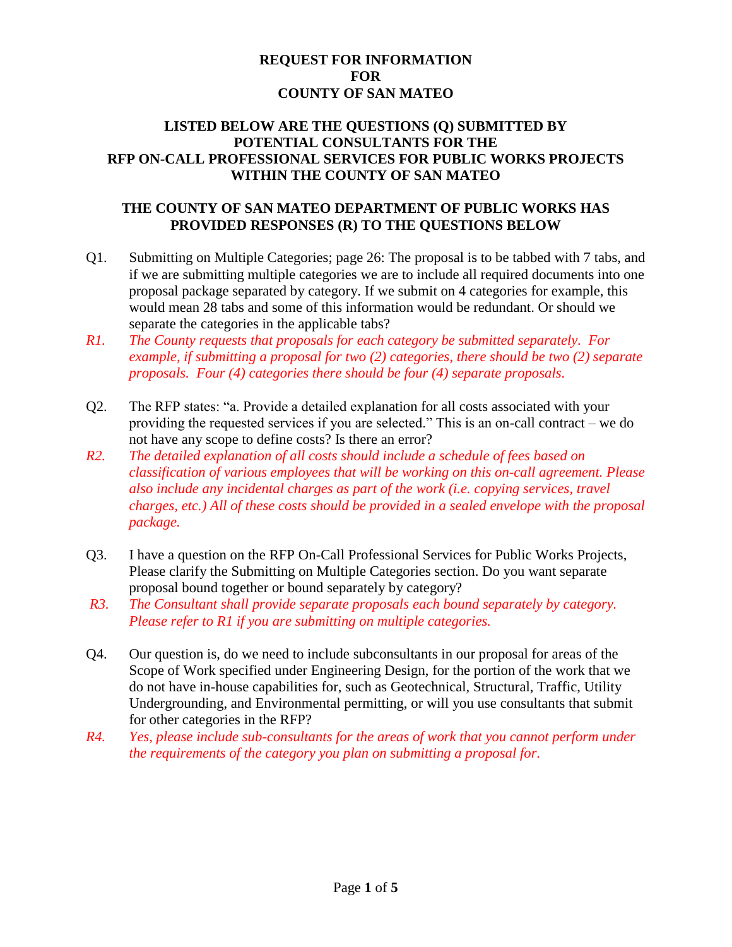## **REQUEST FOR INFORMATION FOR COUNTY OF SAN MATEO**

## **LISTED BELOW ARE THE QUESTIONS (Q) SUBMITTED BY POTENTIAL CONSULTANTS FOR THE RFP ON-CALL PROFESSIONAL SERVICES FOR PUBLIC WORKS PROJECTS WITHIN THE COUNTY OF SAN MATEO**

## **THE COUNTY OF SAN MATEO DEPARTMENT OF PUBLIC WORKS HAS PROVIDED RESPONSES (R) TO THE QUESTIONS BELOW**

- Q1. Submitting on Multiple Categories; page 26: The proposal is to be tabbed with 7 tabs, and if we are submitting multiple categories we are to include all required documents into one proposal package separated by category. If we submit on 4 categories for example, this would mean 28 tabs and some of this information would be redundant. Or should we separate the categories in the applicable tabs?
- *R1. The County requests that proposals for each category be submitted separately. For example, if submitting a proposal for two (2) categories, there should be two (2) separate proposals. Four (4) categories there should be four (4) separate proposals.*
- Q2. The RFP states: "a. Provide a detailed explanation for all costs associated with your providing the requested services if you are selected." This is an on-call contract – we do not have any scope to define costs? Is there an error?
- *R2. The detailed explanation of all costs should include a schedule of fees based on classification of various employees that will be working on this on-call agreement. Please also include any incidental charges as part of the work (i.e. copying services, travel charges, etc.) All of these costs should be provided in a sealed envelope with the proposal package.*
- Q3. I have a question on the RFP On-Call Professional Services for Public Works Projects, Please clarify the Submitting on Multiple Categories section. Do you want separate proposal bound together or bound separately by category?
- *R3. The Consultant shall provide separate proposals each bound separately by category. Please refer to R1 if you are submitting on multiple categories.*
- Q4. Our question is, do we need to include subconsultants in our proposal for areas of the Scope of Work specified under Engineering Design, for the portion of the work that we do not have in-house capabilities for, such as Geotechnical, Structural, Traffic, Utility Undergrounding, and Environmental permitting, or will you use consultants that submit for other categories in the RFP?
- *R4. Yes, please include sub-consultants for the areas of work that you cannot perform under the requirements of the category you plan on submitting a proposal for.*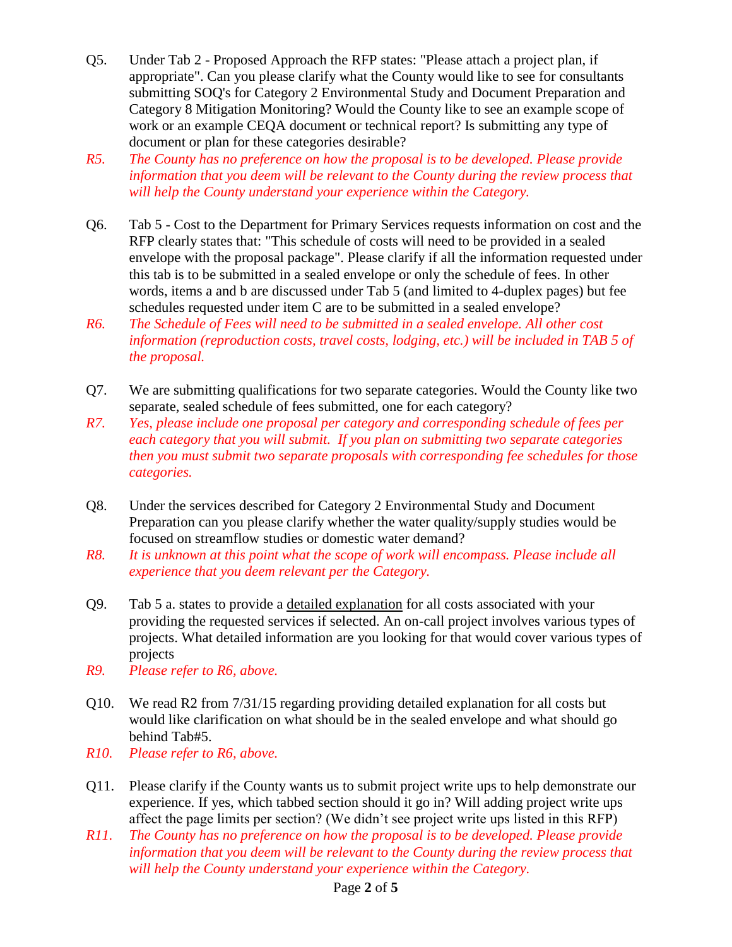- Q5. Under Tab 2 Proposed Approach the RFP states: "Please attach a project plan, if appropriate". Can you please clarify what the County would like to see for consultants submitting SOQ's for Category 2 Environmental Study and Document Preparation and Category 8 Mitigation Monitoring? Would the County like to see an example scope of work or an example CEQA document or technical report? Is submitting any type of document or plan for these categories desirable?
- *R5. The County has no preference on how the proposal is to be developed. Please provide information that you deem will be relevant to the County during the review process that will help the County understand your experience within the Category.*
- Q6. Tab 5 Cost to the Department for Primary Services requests information on cost and the RFP clearly states that: "This schedule of costs will need to be provided in a sealed envelope with the proposal package". Please clarify if all the information requested under this tab is to be submitted in a sealed envelope or only the schedule of fees. In other words, items a and b are discussed under Tab 5 (and limited to 4-duplex pages) but fee schedules requested under item C are to be submitted in a sealed envelope?
- *R6. The Schedule of Fees will need to be submitted in a sealed envelope. All other cost information (reproduction costs, travel costs, lodging, etc.) will be included in TAB 5 of the proposal.*
- Q7. We are submitting qualifications for two separate categories. Would the County like two separate, sealed schedule of fees submitted, one for each category?
- *R7. Yes, please include one proposal per category and corresponding schedule of fees per each category that you will submit. If you plan on submitting two separate categories then you must submit two separate proposals with corresponding fee schedules for those categories.*
- Q8. Under the services described for Category 2 Environmental Study and Document Preparation can you please clarify whether the water quality/supply studies would be focused on streamflow studies or domestic water demand?
- *R8. It is unknown at this point what the scope of work will encompass. Please include all experience that you deem relevant per the Category.*
- Q9. Tab 5 a. states to provide a detailed explanation for all costs associated with your providing the requested services if selected. An on-call project involves various types of projects. What detailed information are you looking for that would cover various types of projects
- *R9. Please refer to R6, above.*
- Q10. We read R2 from 7/31/15 regarding providing detailed explanation for all costs but would like clarification on what should be in the sealed envelope and what should go behind Tab#5.
- *R10. Please refer to R6, above.*
- Q11. Please clarify if the County wants us to submit project write ups to help demonstrate our experience. If yes, which tabbed section should it go in? Will adding project write ups affect the page limits per section? (We didn't see project write ups listed in this RFP)
- *R11. The County has no preference on how the proposal is to be developed. Please provide information that you deem will be relevant to the County during the review process that will help the County understand your experience within the Category.*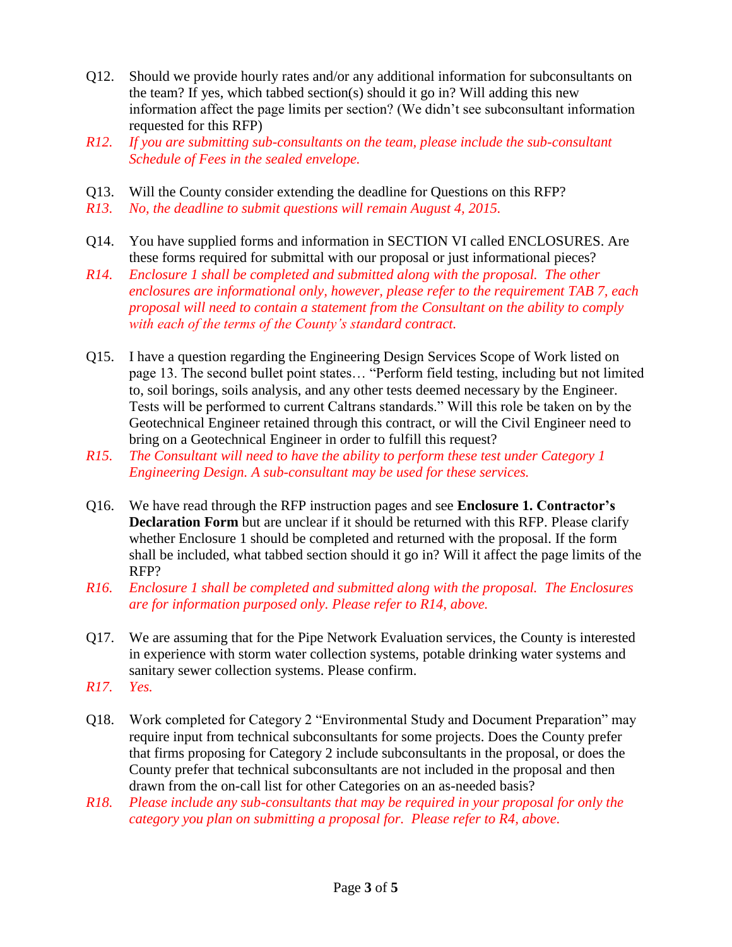- Q12. Should we provide hourly rates and/or any additional information for subconsultants on the team? If yes, which tabbed section(s) should it go in? Will adding this new information affect the page limits per section? (We didn't see subconsultant information requested for this RFP)
- *R12. If you are submitting sub-consultants on the team, please include the sub-consultant Schedule of Fees in the sealed envelope.*
- Q13. Will the County consider extending the deadline for Questions on this RFP?
- *R13. No, the deadline to submit questions will remain August 4, 2015.*
- Q14. You have supplied forms and information in SECTION VI called ENCLOSURES. Are these forms required for submittal with our proposal or just informational pieces?
- *R14. Enclosure 1 shall be completed and submitted along with the proposal. The other enclosures are informational only, however, please refer to the requirement TAB 7, each proposal will need to contain a statement from the Consultant on the ability to comply with each of the terms of the County's standard contract.*
- Q15. I have a question regarding the Engineering Design Services Scope of Work listed on page 13. The second bullet point states… "Perform field testing, including but not limited to, soil borings, soils analysis, and any other tests deemed necessary by the Engineer. Tests will be performed to current Caltrans standards." Will this role be taken on by the Geotechnical Engineer retained through this contract, or will the Civil Engineer need to bring on a Geotechnical Engineer in order to fulfill this request?
- *R15. The Consultant will need to have the ability to perform these test under Category 1 Engineering Design. A sub-consultant may be used for these services.*
- Q16. We have read through the RFP instruction pages and see **Enclosure 1. Contractor's Declaration Form** but are unclear if it should be returned with this RFP. Please clarify whether Enclosure 1 should be completed and returned with the proposal. If the form shall be included, what tabbed section should it go in? Will it affect the page limits of the RFP?
- *R16. Enclosure 1 shall be completed and submitted along with the proposal. The Enclosures are for information purposed only. Please refer to R14, above.*
- Q17. We are assuming that for the Pipe Network Evaluation services, the County is interested in experience with storm water collection systems, potable drinking water systems and sanitary sewer collection systems. Please confirm.
- *R17. Yes.*
- Q18. Work completed for Category 2 "Environmental Study and Document Preparation" may require input from technical subconsultants for some projects. Does the County prefer that firms proposing for Category 2 include subconsultants in the proposal, or does the County prefer that technical subconsultants are not included in the proposal and then drawn from the on-call list for other Categories on an as-needed basis?
- *R18. Please include any sub-consultants that may be required in your proposal for only the category you plan on submitting a proposal for. Please refer to R4, above.*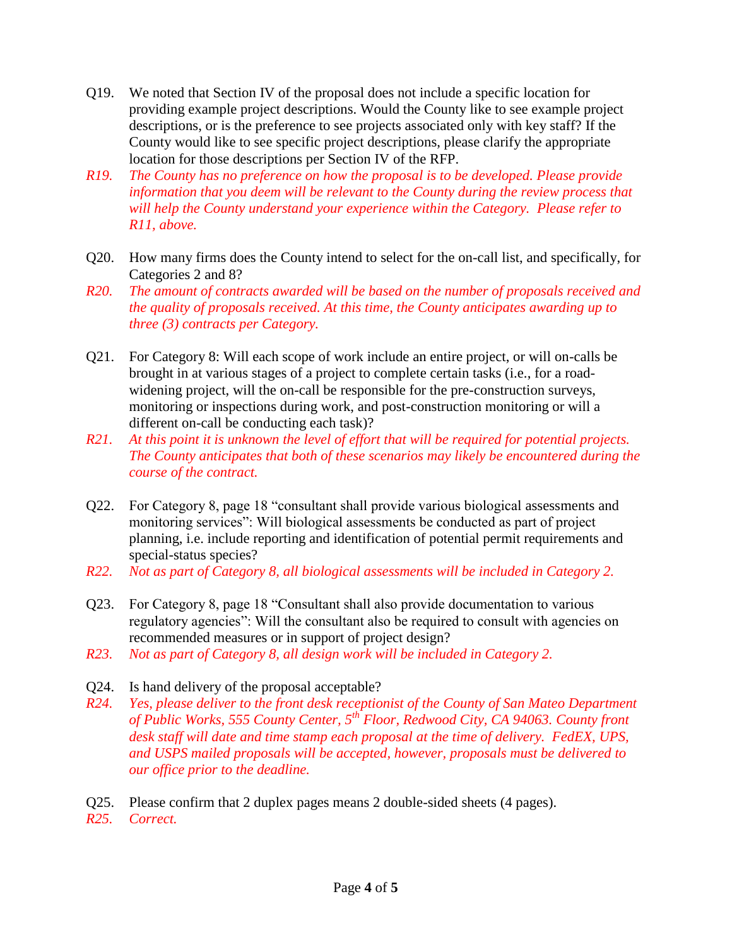- Q19. We noted that Section IV of the proposal does not include a specific location for providing example project descriptions. Would the County like to see example project descriptions, or is the preference to see projects associated only with key staff? If the County would like to see specific project descriptions, please clarify the appropriate location for those descriptions per Section IV of the RFP.
- *R19. The County has no preference on how the proposal is to be developed. Please provide information that you deem will be relevant to the County during the review process that will help the County understand your experience within the Category. Please refer to R11, above.*
- Q20. How many firms does the County intend to select for the on-call list, and specifically, for Categories 2 and 8?
- *R20. The amount of contracts awarded will be based on the number of proposals received and the quality of proposals received. At this time, the County anticipates awarding up to three (3) contracts per Category.*
- Q21. For Category 8: Will each scope of work include an entire project, or will on-calls be brought in at various stages of a project to complete certain tasks (i.e., for a roadwidening project, will the on-call be responsible for the pre-construction surveys, monitoring or inspections during work, and post-construction monitoring or will a different on-call be conducting each task)?
- *R21. At this point it is unknown the level of effort that will be required for potential projects. The County anticipates that both of these scenarios may likely be encountered during the course of the contract.*
- Q22. For Category 8, page 18 "consultant shall provide various biological assessments and monitoring services": Will biological assessments be conducted as part of project planning, i.e. include reporting and identification of potential permit requirements and special-status species?
- *R22. Not as part of Category 8, all biological assessments will be included in Category 2.*
- Q23. For Category 8, page 18 "Consultant shall also provide documentation to various regulatory agencies": Will the consultant also be required to consult with agencies on recommended measures or in support of project design?
- *R23. Not as part of Category 8, all design work will be included in Category 2.*
- Q24. Is hand delivery of the proposal acceptable?
- *R24. Yes, please deliver to the front desk receptionist of the County of San Mateo Department of Public Works, 555 County Center, 5th Floor, Redwood City, CA 94063. County front desk staff will date and time stamp each proposal at the time of delivery. FedEX, UPS, and USPS mailed proposals will be accepted, however, proposals must be delivered to our office prior to the deadline.*
- Q25. Please confirm that 2 duplex pages means 2 double-sided sheets (4 pages).
- *R25. Correct.*